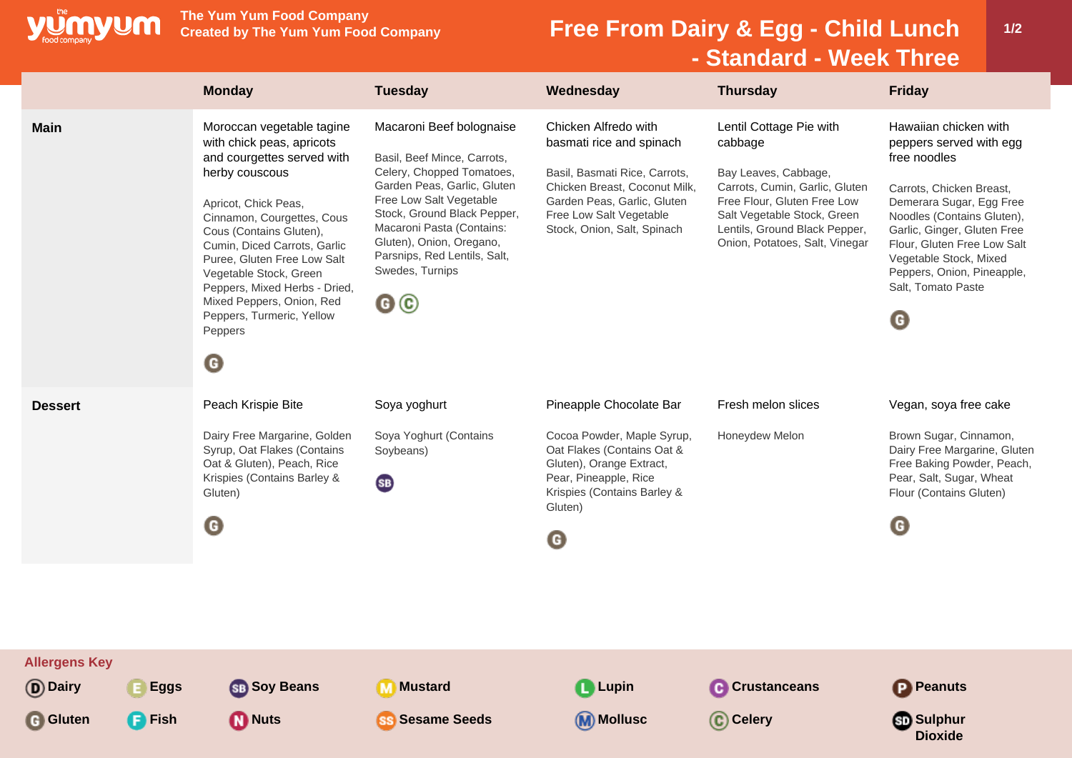

**The Yum Yum Food Company**

## **Free From Dairy & Egg - Child Lunch - Standard - Week Three**

|                                                  | <b>Monday</b>                                                                                                                                                                                                                                                                                                                                                                                              | <b>Tuesday</b>                                                                                                                                                                                                                                                                                                          | Wednesday                                                                                                                                                                                                   | <b>Thursday</b>                                                                                                                                                                                                               | <b>Friday</b>                                                                                                                                                                                                                                                                                           |
|--------------------------------------------------|------------------------------------------------------------------------------------------------------------------------------------------------------------------------------------------------------------------------------------------------------------------------------------------------------------------------------------------------------------------------------------------------------------|-------------------------------------------------------------------------------------------------------------------------------------------------------------------------------------------------------------------------------------------------------------------------------------------------------------------------|-------------------------------------------------------------------------------------------------------------------------------------------------------------------------------------------------------------|-------------------------------------------------------------------------------------------------------------------------------------------------------------------------------------------------------------------------------|---------------------------------------------------------------------------------------------------------------------------------------------------------------------------------------------------------------------------------------------------------------------------------------------------------|
| <b>Main</b>                                      | Moroccan vegetable tagine<br>with chick peas, apricots<br>and courgettes served with<br>herby couscous<br>Apricot, Chick Peas,<br>Cinnamon, Courgettes, Cous<br>Cous (Contains Gluten),<br>Cumin, Diced Carrots, Garlic<br>Puree, Gluten Free Low Salt<br>Vegetable Stock, Green<br>Peppers, Mixed Herbs - Dried,<br>Mixed Peppers, Onion, Red<br>Peppers, Turmeric, Yellow<br>Peppers<br>$\mathbf \Theta$ | Macaroni Beef bolognaise<br>Basil, Beef Mince, Carrots,<br>Celery, Chopped Tomatoes,<br>Garden Peas, Garlic, Gluten<br>Free Low Salt Vegetable<br>Stock, Ground Black Pepper,<br>Macaroni Pasta (Contains:<br>Gluten), Onion, Oregano,<br>Parsnips, Red Lentils, Salt,<br>Swedes, Turnips<br>$\mathbf{O} \, \mathbf{O}$ | Chicken Alfredo with<br>basmati rice and spinach<br>Basil, Basmati Rice, Carrots,<br>Chicken Breast, Coconut Milk,<br>Garden Peas, Garlic, Gluten<br>Free Low Salt Vegetable<br>Stock, Onion, Salt, Spinach | Lentil Cottage Pie with<br>cabbage<br>Bay Leaves, Cabbage,<br>Carrots, Cumin, Garlic, Gluten<br>Free Flour, Gluten Free Low<br>Salt Vegetable Stock, Green<br>Lentils, Ground Black Pepper,<br>Onion, Potatoes, Salt, Vinegar | Hawaiian chicken with<br>peppers served with egg<br>free noodles<br>Carrots, Chicken Breast,<br>Demerara Sugar, Egg Free<br>Noodles (Contains Gluten),<br>Garlic, Ginger, Gluten Free<br>Flour, Gluten Free Low Salt<br>Vegetable Stock, Mixed<br>Peppers, Onion, Pineapple,<br>Salt, Tomato Paste<br>G |
| <b>Dessert</b>                                   | Peach Krispie Bite<br>Dairy Free Margarine, Golden<br>Syrup, Oat Flakes (Contains<br>Oat & Gluten), Peach, Rice<br>Krispies (Contains Barley &<br>Gluten)<br>$\mathbf \Theta$                                                                                                                                                                                                                              | Soya yoghurt<br>Soya Yoghurt (Contains<br>Soybeans)<br>SB)                                                                                                                                                                                                                                                              | Pineapple Chocolate Bar<br>Cocoa Powder, Maple Syrup,<br>Oat Flakes (Contains Oat &<br>Gluten), Orange Extract,<br>Pear, Pineapple, Rice<br>Krispies (Contains Barley &<br>Gluten)<br>◶                     | Fresh melon slices<br>Honeydew Melon                                                                                                                                                                                          | Vegan, soya free cake<br>Brown Sugar, Cinnamon,<br>Dairy Free Margarine, Gluten<br>Free Baking Powder, Peach,<br>Pear, Salt, Sugar, Wheat<br>Flour (Contains Gluten)<br>$\mathbf G$                                                                                                                     |
| <b>Allergens Key</b><br>(D) Dairy<br><b>Eggs</b> | <b>SB</b> Soy Beans                                                                                                                                                                                                                                                                                                                                                                                        | <b>Mustard</b>                                                                                                                                                                                                                                                                                                          | <b>Lupin</b>                                                                                                                                                                                                | <b>Crustanceans</b>                                                                                                                                                                                                           | <b>P</b> Peanuts                                                                                                                                                                                                                                                                                        |
| <b>F</b> Fish<br>G Gluten                        | <b>D</b> Nuts                                                                                                                                                                                                                                                                                                                                                                                              | <b>Sesame Seeds</b>                                                                                                                                                                                                                                                                                                     | (M) Mollusc                                                                                                                                                                                                 | C Celery                                                                                                                                                                                                                      | <b>ு) Sulphur</b><br><b>Dioxide</b>                                                                                                                                                                                                                                                                     |